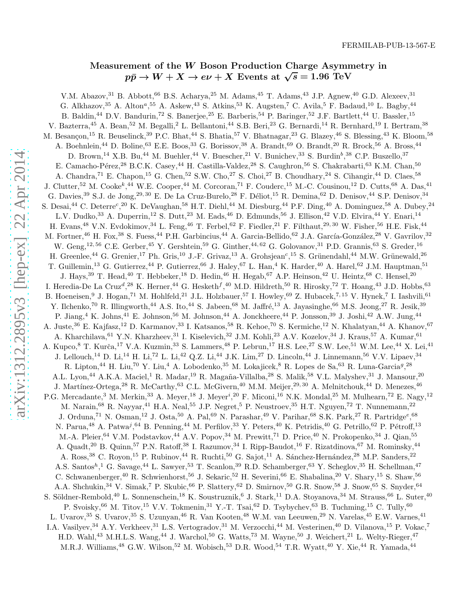## Measurement of the W Boson Production Charge Asymmetry in  $p\bar{p} \rightarrow W + X \rightarrow e\nu + X$  Events at  $\sqrt{s} = 1.96$  TeV

V.M. Abazov,<sup>31</sup> B. Abbott,<sup>66</sup> B.S. Acharya,<sup>25</sup> M. Adams,<sup>45</sup> T. Adams,<sup>43</sup> J.P. Agnew,<sup>40</sup> G.D. Alexeev,<sup>31</sup> G. Alkhazov, <sup>35</sup> A. Alton<sup>a</sup>, <sup>55</sup> A. Askew, <sup>43</sup> S. Atkins, <sup>53</sup> K. Augsten, <sup>7</sup> C. Avila, <sup>5</sup> F. Badaud, <sup>10</sup> L. Bagby, <sup>44</sup> B. Baldin,<sup>44</sup> D.V. Bandurin,<sup>72</sup> S. Banerjee,<sup>25</sup> E. Barberis,<sup>54</sup> P. Baringer,<sup>52</sup> J.F. Bartlett,<sup>44</sup> U. Bassler,<sup>15</sup> V. Bazterra,<sup>45</sup> A. Bean,<sup>52</sup> M. Begalli,<sup>2</sup> L. Bellantoni,<sup>44</sup> S.B. Beri,<sup>23</sup> G. Bernardi,<sup>14</sup> R. Bernhard,<sup>19</sup> I. Bertram,<sup>38</sup> M. Besançon,<sup>15</sup> R. Beuselinck,<sup>39</sup> P.C. Bhat,<sup>44</sup> S. Bhatia,<sup>57</sup> V. Bhatnagar,<sup>23</sup> G. Blazey,<sup>46</sup> S. Blessing,<sup>43</sup> K. Bloom,<sup>58</sup> A. Boehnlein,<sup>44</sup> D. Boline,<sup>63</sup> E.E. Boos,<sup>33</sup> G. Borissov,<sup>38</sup> A. Brandt,<sup>69</sup> O. Brandt,<sup>20</sup> R. Brock,<sup>56</sup> A. Bross,<sup>44</sup> D. Brown,<sup>14</sup> X.B. Bu,<sup>44</sup> M. Buehler,<sup>44</sup> V. Buescher,<sup>21</sup> V. Bunichev,<sup>33</sup> S. Burdin<sup>b</sup>,<sup>38</sup> C.P. Buszello,<sup>37</sup> E. Camacho-Pérez,<sup>28</sup> B.C.K. Casey,<sup>44</sup> H. Castilla-Valdez,<sup>28</sup> S. Caughron,<sup>56</sup> S. Chakrabarti,<sup>63</sup> K.M. Chan,<sup>50</sup> A. Chandra,<sup>71</sup> E. Chapon,<sup>15</sup> G. Chen,<sup>52</sup> S.W. Cho,<sup>27</sup> S. Choi,<sup>27</sup> B. Choudhary,<sup>24</sup> S. Cihangir,<sup>44</sup> D. Claes,<sup>58</sup> J. Clutter,<sup>52</sup> M. Cooke<sup>k</sup>,<sup>44</sup> W.E. Cooper,<sup>44</sup> M. Corcoran,<sup>71</sup> F. Couderc,<sup>15</sup> M.-C. Cousinou,<sup>12</sup> D. Cutts,<sup>68</sup> A. Das,<sup>41</sup> G. Davies, <sup>39</sup> S.J. de Jong, <sup>29, 30</sup> E. De La Cruz-Burelo, <sup>28</sup> F. Déliot, <sup>15</sup> R. Demina, <sup>62</sup> D. Denisov, <sup>44</sup> S.P. Denisov, <sup>34</sup> S. Desai,<sup>44</sup> C. Deterre<sup>c</sup>,<sup>20</sup> K. DeVaughan,<sup>58</sup> H.T. Diehl,<sup>44</sup> M. Diesburg,<sup>44</sup> P.F. Ding,<sup>40</sup> A. Dominguez,<sup>58</sup> A. Dubey,<sup>24</sup> L.V. Dudko,<sup>33</sup> A. Duperrin,<sup>12</sup> S. Dutt,<sup>23</sup> M. Eads,<sup>46</sup> D. Edmunds,<sup>56</sup> J. Ellison,<sup>42</sup> V.D. Elvira,<sup>44</sup> Y. Enari,<sup>14</sup> H. Evans,<sup>48</sup> V.N. Evdokimov,<sup>34</sup> L. Feng,<sup>46</sup> T. Ferbel,<sup>62</sup> F. Fiedler,<sup>21</sup> F. Filthaut,<sup>29,30</sup> W. Fisher,<sup>56</sup> H.E. Fisk,<sup>44</sup> M. Fortner,<sup>46</sup> H. Fox,<sup>38</sup> S. Fuess,<sup>44</sup> P.H. Garbincius,<sup>44</sup> A. Garcia-Bellido,<sup>62</sup> J.A. García-González,<sup>28</sup> V. Gavrilov,<sup>32</sup> W. Geng,<sup>12, 56</sup> C.E. Gerber,<sup>45</sup> Y. Gershtein,<sup>59</sup> G. Ginther,<sup>44, 62</sup> G. Golovanov,<sup>31</sup> P.D. Grannis,<sup>63</sup> S. Greder,<sup>16</sup> H. Greenlee,<sup>44</sup> G. Grenier,<sup>17</sup> Ph. Gris,<sup>10</sup> J.-F. Grivaz,<sup>13</sup> A. Grohsjean<sup>c</sup>,<sup>15</sup> S. Grünendahl,<sup>44</sup> M.W. Grünewald,<sup>26</sup> T. Guillemin,<sup>13</sup> G. Gutierrez,<sup>44</sup> P. Gutierrez,<sup>66</sup> J. Haley,<sup>67</sup> L. Han,<sup>4</sup> K. Harder,<sup>40</sup> A. Harel,<sup>62</sup> J.M. Hauptman,<sup>51</sup> J. Hays,<sup>39</sup> T. Head,<sup>40</sup> T. Hebbeker,<sup>18</sup> D. Hedin,<sup>46</sup> H. Hegab,<sup>67</sup> A.P. Heinson,<sup>42</sup> U. Heintz,<sup>68</sup> C. Hensel,<sup>20</sup> I. Heredia-De La Cruz<sup>d</sup>,<sup>28</sup> K. Herner,<sup>44</sup> G. Hesketh<sup>f</sup>,<sup>40</sup> M.D. Hildreth,<sup>50</sup> R. Hirosky,<sup>72</sup> T. Hoang,<sup>43</sup> J.D. Hobbs,<sup>63</sup> B. Hoeneisen, <sup>9</sup> J. Hogan, <sup>71</sup> M. Hohlfeld, <sup>21</sup> J.L. Holzbauer, <sup>57</sup> I. Howley, <sup>69</sup> Z. Hubacek, <sup>7, 15</sup> V. Hynek, <sup>7</sup> I. Iashvili, <sup>61</sup> Y. Ilchenko,<sup>70</sup> R. Illingworth,<sup>44</sup> A.S. Ito,<sup>44</sup> S. Jabeen,<sup>68</sup> M. Jaffré,<sup>13</sup> A. Jayasinghe,<sup>66</sup> M.S. Jeong,<sup>27</sup> R. Jesik,<sup>39</sup> P. Jiang,  $4 K.$  Johns,  $41 E.$  Johnson,  $56 M.$  Johnson,  $44 A.$  Jonckheere,  $44 P.$  Jonsson,  $39 J.$  Joshi,  $42 A.W.$  Jung,  $44 A.$ A. Juste,<sup>36</sup> E. Kajfasz,<sup>12</sup> D. Karmanov,<sup>33</sup> I. Katsanos,<sup>58</sup> R. Kehoe,<sup>70</sup> S. Kermiche,<sup>12</sup> N. Khalatyan,<sup>44</sup> A. Khanov,<sup>67</sup> A. Kharchilava, <sup>61</sup> Y.N. Kharzheev, <sup>31</sup> I. Kiselevich, <sup>32</sup> J.M. Kohli, <sup>23</sup> A.V. Kozelov, <sup>34</sup> J. Kraus, <sup>57</sup> A. Kumar, <sup>61</sup> A. Kupco,<sup>8</sup> T. Kurča,<sup>17</sup> V.A. Kuzmin,<sup>33</sup> S. Lammers,<sup>48</sup> P. Lebrun,<sup>17</sup> H.S. Lee,<sup>27</sup> S.W. Lee,<sup>51</sup> W.M. Lee,<sup>44</sup> X. Lei,<sup>41</sup> J. Lellouch,<sup>14</sup> D. Li,<sup>14</sup> H. Li,<sup>72</sup> L. Li,<sup>42</sup> Q.Z. Li,<sup>44</sup> J.K. Lim,<sup>27</sup> D. Lincoln,<sup>44</sup> J. Linnemann,<sup>56</sup> V.V. Lipaev,<sup>34</sup> R. Lipton,<sup>44</sup> H. Liu,<sup>70</sup> Y. Liu,<sup>4</sup> A. Lobodenko,<sup>35</sup> M. Lokajicek,<sup>8</sup> R. Lopes de Sa,<sup>63</sup> R. Luna-Garcia<sup>g</sup>,<sup>28</sup> A.L. Lyon,<sup>44</sup> A.K.A. Maciel,<sup>1</sup> R. Madar,<sup>19</sup> R. Magaña-Villalba,<sup>28</sup> S. Malik,<sup>58</sup> V.L. Malyshev,<sup>31</sup> J. Mansour,<sup>20</sup> J. Martínez-Ortega,<sup>28</sup> R. McCarthy,<sup>63</sup> C.L. McGivern,<sup>40</sup> M.M. Meijer,<sup>29, 30</sup> A. Melnitchouk,<sup>44</sup> D. Menezes,<sup>46</sup> P.G. Mercadante,<sup>3</sup> M. Merkin,<sup>33</sup> A. Meyer,<sup>18</sup> J. Meyer<sup>i</sup>,<sup>20</sup> F. Miconi,<sup>16</sup> N.K. Mondal,<sup>25</sup> M. Mulhearn,<sup>72</sup> E. Nagy,<sup>12</sup> M. Narain,<sup>68</sup> R. Nayyar,<sup>41</sup> H.A. Neal,<sup>55</sup> J.P. Negret,<sup>5</sup> P. Neustroev,<sup>35</sup> H.T. Nguyen,<sup>72</sup> T. Nunnemann,<sup>22</sup> J. Orduna,<sup>71</sup> N. Osman,<sup>12</sup> J. Osta,<sup>50</sup> A. Pal,<sup>69</sup> N. Parashar,<sup>49</sup> V. Parihar,<sup>68</sup> S.K. Park,<sup>27</sup> R. Partridge<sup>e</sup>,<sup>68</sup> N. Parua,<sup>48</sup> A. Patwa<sup>j</sup>,<sup>64</sup> B. Penning,<sup>44</sup> M. Perfilov,<sup>33</sup> Y. Peters,<sup>40</sup> K. Petridis,<sup>40</sup> G. Petrillo,<sup>62</sup> P. Pétroff,<sup>13</sup> M.-A. Pleier, <sup>64</sup> V.M. Podstavkov, <sup>44</sup> A.V. Popov, <sup>34</sup> M. Prewitt, <sup>71</sup> D. Price, <sup>40</sup> N. Prokopenko, <sup>34</sup> J. Qian, <sup>55</sup> A. Quadt,<sup>20</sup> B. Quinn,<sup>57</sup> P.N. Ratoff,<sup>38</sup> I. Razumov,<sup>34</sup> I. Ripp-Baudot,<sup>16</sup> F. Rizatdinova,<sup>67</sup> M. Rominsky,<sup>44</sup> A. Ross,<sup>38</sup> C. Royon,<sup>15</sup> P. Rubinov,<sup>44</sup> R. Ruchti,<sup>50</sup> G. Sajot,<sup>11</sup> A. Sánchez-Hernández,<sup>28</sup> M.P. Sanders,<sup>22</sup> A.S. Santos<sup>h<sub>,</sub>1</sub> G. Savage,<sup>44</sup> L. Sawyer,<sup>53</sup> T. Scanlon,<sup>39</sup> R.D. Schamberger,<sup>63</sup> Y. Scheglov,<sup>35</sup> H. Schellman,<sup>47</sup></sup> C. Schwanenberger,<sup>40</sup> R. Schwienhorst,<sup>56</sup> J. Sekaric,<sup>52</sup> H. Severini,<sup>66</sup> E. Shabalina,<sup>20</sup> V. Shary,<sup>15</sup> S. Shaw,<sup>56</sup> A.A. Shchukin,<sup>34</sup> V. Simak,<sup>7</sup> P. Skubic,<sup>66</sup> P. Slattery,<sup>62</sup> D. Smirnov,<sup>50</sup> G.R. Snow,<sup>58</sup> J. Snow,<sup>65</sup> S. Snyder,<sup>64</sup> S. Söldner-Rembold,<sup>40</sup> L. Sonnenschein,<sup>18</sup> K. Soustruznik,<sup>6</sup> J. Stark,<sup>11</sup> D.A. Stoyanova,<sup>34</sup> M. Strauss,<sup>66</sup> L. Suter,<sup>40</sup> P. Svoisky,  $66$  M. Titov,  $15$  V.V. Tokmenin,  $31$  Y.-T. Tsai,  $62$  D. Tsybychev,  $63$  B. Tuchming,  $15$  C. Tully,  $60$ L. Uvarov, <sup>35</sup> S. Uvarov, <sup>35</sup> S. Uzunyan, <sup>46</sup> R. Van Kooten, <sup>48</sup> W.M. van Leeuwen, <sup>29</sup> N. Varelas, <sup>45</sup> E.W. Varnes, <sup>41</sup> I.A. Vasilyev,<sup>34</sup> A.Y. Verkheev,<sup>31</sup> L.S. Vertogradov,<sup>31</sup> M. Verzocchi,<sup>44</sup> M. Vesterinen,<sup>40</sup> D. Vilanova,<sup>15</sup> P. Vokac,<sup>7</sup> H.D. Wahl,<sup>43</sup> M.H.L.S. Wang,<sup>44</sup> J. Warchol,<sup>50</sup> G. Watts,<sup>73</sup> M. Wayne,<sup>50</sup> J. Weichert,<sup>21</sup> L. Welty-Rieger,<sup>47</sup> M.R.J. Williams,<sup>48</sup> G.W. Wilson,<sup>52</sup> M. Wobisch,<sup>53</sup> D.R. Wood,<sup>54</sup> T.R. Wyatt,<sup>40</sup> Y. Xie,<sup>44</sup> R. Yamada,<sup>44</sup>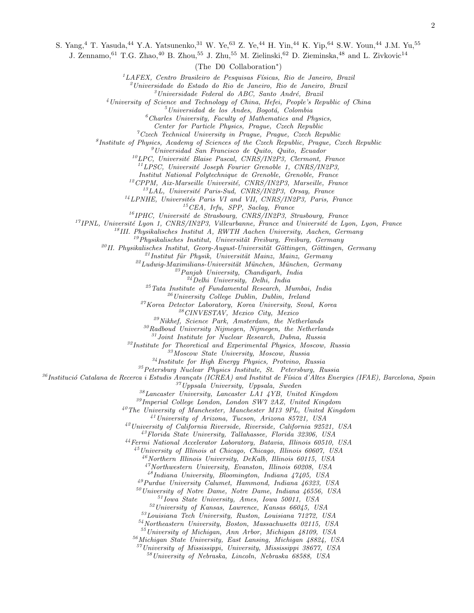S. Yang,<sup>4</sup> T. Yasuda,<sup>44</sup> Y.A. Yatsunenko,<sup>31</sup> W. Ye,<sup>63</sup> Z. Ye,<sup>44</sup> H. Yin,<sup>44</sup> K. Yip,<sup>64</sup> S.W. Youn,<sup>44</sup> J.M. Yu,<sup>55</sup>

J. Zennamo, <sup>61</sup> T.G. Zhao, <sup>40</sup> B. Zhou, <sup>55</sup> J. Zhu, <sup>55</sup> M. Zielinski, <sup>62</sup> D. Zieminska, <sup>48</sup> and L. Zivkovic<sup>14</sup>

(The D0 Collaboration<sup>∗</sup> )

 ${}^{1}LAFEX$ , Centro Brasileiro de Pesquisas Físicas, Rio de Janeiro, Brazil

 $^{2}$ Universidade do Estado do Rio de Janeiro, Rio de Janeiro, Brazil

Universidade Federal do ABC, Santo André, Brazil

University of Science and Technology of China, Hefei, People's Republic of China

 $<sup>5</sup> Universidad de los Andes, Bogotá, Colombia$ </sup>

Charles University, Faculty of Mathematics and Physics,

Center for Particle Physics, Prague, Czech Republic

 ${}^{7}C$ zech Technical University in Prague, Prague, Czech Republic

Institute of Physics, Academy of Sciences of the Czech Republic, Prague, Czech Republic

 $<sup>9</sup> Universidad San Francisco de Quito, Quito, Ecuador$ </sup>

 ${}^{10}LPC$ , Université Blaise Pascal, CNRS/IN2P3, Clermont, France

 ${}^{11}LPSC$ , Université Joseph Fourier Grenoble 1, CNRS/IN2P3,

Institut National Polytechnique de Grenoble, Grenoble, France

CPPM, Aix-Marseille Université, CNRS/IN2P3, Marseille, France

 $^{13}LAL$ , Université Paris-Sud, CNRS/IN2P3, Orsay, France

 $^{14}$ LPNHE, Universités Paris VI and VII, CNRS/IN2P3, Paris, France

CEA, Irfu, SPP, Saclay, France

<sup>16</sup>IPHC, Université de Strasbourg, CNRS/IN2P3, Strasbourg, France

IPNL, Université Lyon 1, CNRS/IN2P3, Villeurbanne, France and Université de Lyon, Lyon, France

<sup>18</sup>III. Physikalisches Institut A, RWTH Aachen University, Aachen, Germany

Phusikalisches Institut, Universität Freiburg, Freiburg, Germany

 $^{20}$ II. Physikalisches Institut, Georg-August-Universität Göttingen, Göttingen, Germany

 $^{21}$ Institut für Physik, Universität Mainz, Mainz, Germany

 $22Ludwig-Maximilians-Universität München, München, Germany$ 

 $^{23}Panjab$  University, Chandigarh, India

 $^{24}$ Delhi University, Delhi, India

Tata Institute of Fundamental Research, Mumbai, India

 $^{26}$ University College Dublin, Dublin, Ireland

Korea Detector Laboratory, Korea University, Seoul, Korea

CINVESTAV, Mexico City, Mexico

Nikhef, Science Park, Amsterdam, the Netherlands

Radboud University Nijmegen, Nijmegen, the Netherlands

Joint Institute for Nuclear Research, Dubna, Russia

Institute for Theoretical and Experimental Physics, Moscow, Russia

Moscow State University, Moscow, Russia

Institute for High Energy Physics, Protvino, Russia

Petersburg Nuclear Physics Institute, St. Petersburg, Russia

Institució Catalana de Recerca i Estudis Avançats (ICREA) and Institut de Física d'Altes Energies (IFAE), Barcelona, Spain

Uppsala University, Uppsala, Sweden

Lancaster University, Lancaster LA1 4YB, United Kingdom

Imperial College London, London SW7 2AZ, United Kingdom

The University of Manchester, Manchester M13 9PL, United Kingdom

University of Arizona, Tucson, Arizona 85721, USA

University of California Riverside, Riverside, California 92521, USA

Florida State University, Tallahassee, Florida 32306, USA

Fermi National Accelerator Laboratory, Batavia, Illinois 60510, USA

University of Illinois at Chicago, Chicago, Illinois 60607, USA

 $^{46}$ Northern Illinois University, DeKalb, Illinois 60115, USA

Northwestern University, Evanston, Illinois 60208, USA

Indiana University, Bloomington, Indiana 47405, USA

Purdue University Calumet, Hammond, Indiana 46323, USA

University of Notre Dame, Notre Dame, Indiana 46556, USA

Iowa State University, Ames, Iowa 50011, USA

University of Kansas, Lawrence, Kansas 66045, USA

Louisiana Tech University, Ruston, Louisiana 71272, USA

Northeastern University, Boston, Massachusetts 02115, USA

University of Michigan, Ann Arbor, Michigan 48109, USA

Michigan State University, East Lansing, Michigan 48824, USA

University of Mississippi, University, Mississippi 38677, USA

University of Nebraska, Lincoln, Nebraska 68588, USA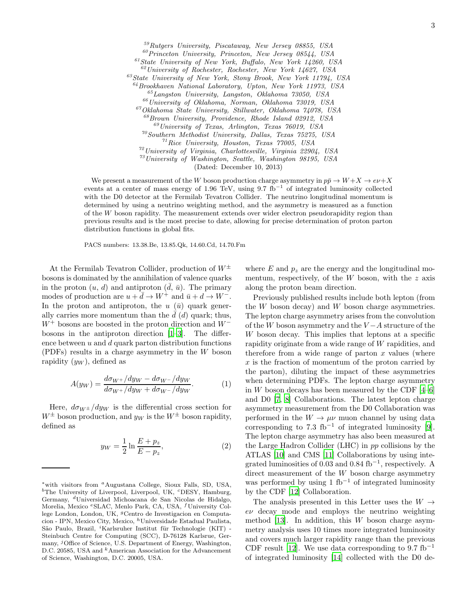<sup>59</sup>Rutgers University, Piscataway, New Jersey 08855, USA  $^{60}$ Princeton University, Princeton, New Jersey 08544, USA  $61$ State University of New York, Buffalo, New York 14260, USA  $62$ University of Rochester, Rochester, New York 14627, USA  $^{63}$ State University of New York, Stony Brook, New York 11794, USA  $^{64}$ Brookhaven National Laboratory, Upton, New York 11973, USA <sup>65</sup>Langston University, Langston, Oklahoma 73050, USA  $^{66}$ University of Oklahoma, Norman, Oklahoma 73019, USA <sup>67</sup>Oklahoma State University, Stillwater, Oklahoma 74078, USA  $^{68}$ Brown University, Providence, Rhode Island 02912, USA  $^{69}$ University of Texas, Arlington, Texas 76019, USA <sup>70</sup>Southern Methodist University, Dallas, Texas 75275, USA  $171$  Rice University, Houston, Texas 77005, USA  $72$ University of Virginia, Charlottesville, Virginia 22904, USA  $^{73}$ University of Washington, Seattle, Washington 98195, USA

(Dated: December 10, 2013)

We present a measurement of the W boson production charge asymmetry in  $p\bar{p} \to W + X \to e\nu + X$ events at a center of mass energy of 1.96 TeV, using 9.7 fb<sup>-1</sup> of integrated luminosity collected with the D0 detector at the Fermilab Tevatron Collider. The neutrino longitudinal momentum is determined by using a neutrino weighting method, and the asymmetry is measured as a function of the W boson rapidity. The measurement extends over wider electron pseudorapidity region than previous results and is the most precise to date, allowing for precise determination of proton parton distribution functions in global fits.

PACS numbers: 13.38.Be, 13.85.Qk, 14.60.Cd, 14.70.Fm

At the Fermilab Tevatron Collider, production of  $W^{\pm}$ bosons is dominated by the annihilation of valence quarks in the proton  $(u, d)$  and antiproton  $(\bar{d}, \bar{u})$ . The primary modes of production are  $u + d \to W^+$  and  $\bar{u} + d \to W^-$ . In the proton and antiproton, the  $u(\bar{u})$  quark generally carries more momentum than the  $\bar{d}$  (d) quark; thus,  $W^+$  bosons are boosted in the proton direction and  $W^$ bosons in the antiproton direction [\[1](#page-6-0)[–3](#page-6-1)]. The difference between  $u$  and  $d$  quark parton distribution functions (PDFs) results in a charge asymmetry in the W boson rapidity  $(y_W)$ , defined as

$$
A(y_W) = \frac{d\sigma_{W^+}/dy_W - d\sigma_{W^-}/dy_W}{d\sigma_{W^+}/dy_W + d\sigma_{W^-}/dy_W}.
$$
 (1)

Here,  $d\sigma_{W^{\pm}}/dy_W$  is the differential cross section for  $W^{\pm}$  boson production, and  $y_W$  is the  $W^{\pm}$  boson rapidity, defined as

$$
y_W = \frac{1}{2} \ln \frac{E + p_z}{E - p_z},
$$
 (2)

where  $E$  and  $p_z$  are the energy and the longitudinal momentum, respectively, of the  $W$  boson, with the  $z$  axis along the proton beam direction.

Previously published results include both lepton (from the W boson decay) and W boson charge asymmetries. The lepton charge asymmetry arises from the convolution of the W boson asymmetry and the  $V - A$  structure of the W boson decay. This implies that leptons at a specific rapidity originate from a wide range of W rapidities, and therefore from a wide range of parton  $x$  values (where  $x$  is the fraction of momentum of the proton carried by the parton), diluting the impact of these asymmetries when determining PDFs. The lepton charge asymmetry in W boson decays has been measured by the CDF  $[4-6]$ and D0 [\[7,](#page-6-4) [8\]](#page-6-5) Collaborations. The latest lepton charge asymmetry measurement from the D0 Collaboration was performed in the  $W \to \mu\nu$  muon channel by using data corresponding to 7.3 fb<sup>-1</sup> of integrated luminosity [\[9\]](#page-6-6). The lepton charge asymmetry has also been measured at the Large Hadron Collider (LHC) in pp collisions by the ATLAS [\[10](#page-6-7)] and CMS [\[11\]](#page-6-8) Collaborations by using integrated luminosities of  $0.03$  and  $0.84$  fb<sup>-1</sup>, respectively. A direct measurement of the W boson charge asymmetry was performed by using 1 fb<sup>-1</sup> of integrated luminosity by the CDF [\[12](#page-6-9)] Collaboration.

The analysis presented in this Letter uses the  $W \rightarrow$  $e\nu$  decay mode and employs the neutrino weighting method [\[13](#page-6-10)]. In addition, this  $W$  boson charge asymmetry analysis uses 10 times more integrated luminosity and covers much larger rapidity range than the previous CDF result [\[12](#page-6-9)]. We use data corresponding to 9.7 fb<sup>-1</sup> of integrated luminosity [\[14\]](#page-6-11) collected with the D0 de-

<sup>∗</sup>with visitors from <sup>a</sup>Augustana College, Sioux Falls, SD, USA, <sup>b</sup>The University of Liverpool, Liverpool, UK, <sup>c</sup>DESY, Hamburg, Germany, <sup>d</sup>Universidad Michoacana de San Nicolas de Hidalgo, Morelia, Mexico <sup>e</sup>SLAC, Menlo Park, CA, USA, <sup>f</sup>University College London, London, UK, <sup>g</sup>Centro de Investigacion en Computacion - IPN, Mexico City, Mexico, <sup>h</sup>Universidade Estadual Paulista, São Paulo, Brazil, <sup>*i*</sup>Karlsruher Institut für Technologie (KIT) -Steinbuch Centre for Computing (SCC), D-76128 Karlsrue, Germany,  $^{j}$ Office of Science, U.S. Department of Energy, Washington, D.C. 20585, USA and <sup>k</sup>American Association for the Advancement of Science, Washington, D.C. 20005, USA.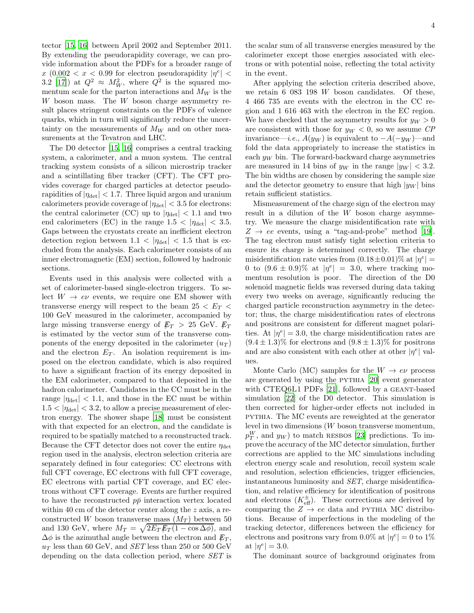tector [\[15,](#page-6-12) [16](#page-6-13)] between April 2002 and September 2011. By extending the pseudorapidity coverage, we can provide information about the PDFs for a broader range of  $x \ (0.002 < x < 0.99 \text{ for electron pseudorapidity } |\eta^e| <$ 3.2 [\[17](#page-6-14)]) at  $Q^2 \approx M_W^2$ , where  $Q^2$  is the squared momentum scale for the parton interactions and  $M_W$  is the  $W$  boson mass. The  $W$  boson charge asymmetry result places stringent constraints on the PDFs of valence quarks, which in turn will significantly reduce the uncertainty on the measurements of  $M_W$  and on other measurements at the Tevatron and LHC.

The D0 detector [\[15,](#page-6-12) [16](#page-6-13)] comprises a central tracking system, a calorimeter, and a muon system. The central tracking system consists of a silicon microstrip tracker and a scintillating fiber tracker (CFT). The CFT provides coverage for charged particles at detector pseudorapidities of  $|\eta_{\text{det}}| < 1.7$ . Three liquid argon and uranium calorimeters provide coverage of  $|\eta_{\text{det}}| < 3.5$  for electrons: the central calorimeter (CC) up to  $|\eta_{\text{det}}|$  < 1.1 and two end calorimeters (EC) in the range  $1.5 < |\eta_{\text{det}}| < 3.5$ . Gaps between the cryostats create an inefficient electron detection region between  $1.1 < |\eta_{\text{det}}| < 1.5$  that is excluded from the analysis. Each calorimeter consists of an inner electromagnetic (EM) section, followed by hadronic sections.

Events used in this analysis were collected with a set of calorimeter-based single-electron triggers. To select  $W \rightarrow e\nu$  events, we require one EM shower with transverse energy will respect to the beam  $25 < E_T$ 100 GeV measured in the calorimeter, accompanied by large missing transverse energy of  $E_T > 25$  GeV.  $E_T$ is estimated by the vector sum of the transverse components of the energy deposited in the calorimeter  $(u_T)$ and the electron  $E_T$ . An isolation requirement is imposed on the electron candidate, which is also required to have a significant fraction of its energy deposited in the EM calorimeter, compared to that deposited in the hadron calorimeter. Candidates in the CC must be in the range  $|\eta_{\text{det}}|$  < 1.1, and those in the EC must be within  $1.5 < |\eta_{\text{det}}| < 3.2$ , to allow a precise measurement of electron energy. The shower shape [\[18\]](#page-6-15) must be consistent with that expected for an electron, and the candidate is required to be spatially matched to a reconstructed track. Because the CFT detector does not cover the entire  $\eta_{\text{det}}$ region used in the analysis, electron selection criteria are separately defined in four categories: CC electrons with full CFT coverage, EC electrons with full CFT coverage, EC electrons with partial CFT coverage, and EC electrons without CFT coverage. Events are further required to have the reconstructed  $p\bar{p}$  interaction vertex located within 40 cm of the detector center along the z axis, a reconstructed W boson transverse mass  $(M_T)$  between 50 and 130 GeV, where  $M_T = \sqrt{2E_T E_T (1 - \cos \Delta \phi)}$ , and  $\Delta \phi$  is the azimuthal angle between the electron and  $\not\hspace{-.15cm}/F_T$ ,  $u_T$  less than 60 GeV, and *SET* less than 250 or 500 GeV depending on the data collection period, where SET is

the scalar sum of all transverse energies measured by the calorimeter except those energies associated with electrons or with potential noise, reflecting the total activity in the event.

After applying the selection criteria described above, we retain 6 083 198 W boson candidates. Of these, 4 466 735 are events with the electron in the CC region and 1 616 463 with the electron in the EC region. We have checked that the asymmetry results for  $y_W > 0$ are consistent with those for  $y_W < 0$ , so we assume CP invariance—*i.e.*,  $A(y_W)$  is equivalent to  $-A(-y_W)$ —and fold the data appropriately to increase the statistics in each  $y_W$  bin. The forward-backward charge asymmetries are measured in 14 bins of  $y_W$  in the range  $|y_W| < 3.2$ . The bin widths are chosen by considering the sample size and the detector geometry to ensure that high  $|y_W|$  bins retain sufficient statistics.

Mismeasurement of the charge sign of the electron may result in a dilution of the  $W$  boson charge asymmetry. We measure the charge misidentification rate with  $Z \rightarrow ee$  events, using a "tag-and-probe" method [\[19\]](#page-6-16). The tag electron must satisfy tight selection criteria to ensure its charge is determined correctly. The charge misidentification rate varies from  $(0.18 \pm 0.01)\%$  at  $|\eta^e|$  = 0 to  $(9.6 \pm 0.9)$ % at  $|\eta^e| = 3.0$ , where tracking momentum resolution is poor. The direction of the D0 solenoid magnetic fields was reversed during data taking every two weeks on average, significantly reducing the charged particle reconstruction asymmetry in the detector; thus, the charge misidentification rates of electrons and positrons are consistent for different magnet polarities. At  $|\eta^e| = 3.0$ , the charge misidentification rates are  $(9.4 \pm 1.3)\%$  for electrons and  $(9.8 \pm 1.3)\%$  for positrons and are also consistent with each other at other  $|\eta^e|$  values.

Monte Carlo (MC) samples for the  $W \to e\nu$  process are generated by using the PYTHIA [\[20\]](#page-6-17) event generator with CTEQ6L1 PDFs [\[21\]](#page-6-18), followed by a GEANT-based simulation [\[22\]](#page-6-19) of the D0 detector. This simulation is then corrected for higher-order effects not included in pythia. The MC events are reweighted at the generator level in two dimensions (W boson transverse momentum,  $p_T^W$ , and  $y_W$ ) to match RESBOS [\[23\]](#page-6-20) predictions. To improve the accuracy of the MC detector simulation, further corrections are applied to the MC simulations including electron energy scale and resolution, recoil system scale and resolution, selection efficiencies, trigger efficiencies, instantaneous luminosity and SET, charge misidentification, and relative efficiency for identification of positrons and electrons  $(K_{\text{eff}}^{\pm})$ . These corrections are derived by comparing the  $Z \rightarrow ee$  data and PYTHIA MC distributions. Because of imperfections in the modeling of the tracking detector, differences between the efficiency for electrons and positrons vary from 0.0% at  $|\eta^e|=0$  to 1% at  $|\eta^e|=3.0$ .

The dominant source of background originates from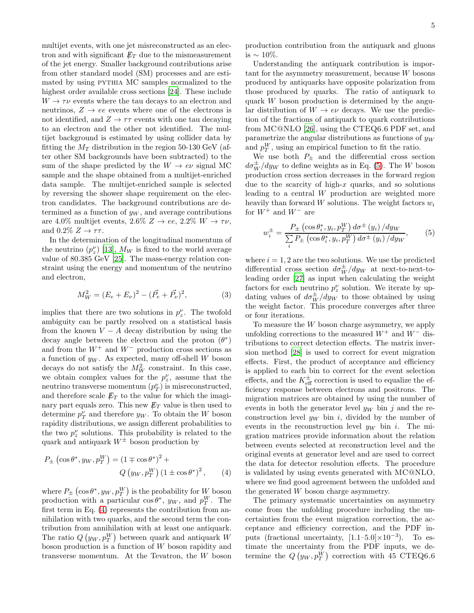multijet events, with one jet misreconstructed as an electron and with significant  $E_T$  due to the mismeasurement of the jet energy. Smaller background contributions arise from other standard model (SM) processes and are estimated by using pythia MC samples normalized to the highest order available cross sections [\[24\]](#page-6-21). These include  $W \rightarrow \tau \nu$  events where the tau decays to an electron and neutrinos,  $Z \rightarrow ee$  events where one of the electrons is not identified, and  $Z \rightarrow \tau\tau$  events with one tau decaying to an electron and the other not identified. The multijet background is estimated by using collider data by fitting the  $M_T$  distribution in the region 50-130 GeV (after other SM backgrounds have been subtracted) to the sum of the shape predicted by the  $W \to e\nu$  signal MC sample and the shape obtained from a multijet-enriched data sample. The multijet-enriched sample is selected by reversing the shower shape requirement on the electron candidates. The background contributions are determined as a function of  $y_W$ , and average contributions are 4.0% multijet events,  $2.6\%$   $Z \rightarrow ee$ ,  $2.2\%$   $W \rightarrow \tau \nu$ , and  $0.2\%$   $Z \rightarrow \tau\tau$ .

In the determination of the longitudinal momentum of the neutrino  $(p_z^{\nu})$  [\[13\]](#page-6-10),  $M_W$  is fixed to the world average value of 80.385 GeV [\[25\]](#page-6-22). The mass-energy relation constraint using the energy and momentum of the neutrino and electron,

$$
M_W^2 = (E_e + E_\nu)^2 - (\vec{P_e} + \vec{P_\nu})^2,\tag{3}
$$

implies that there are two solutions in  $p_z^{\nu}$ . The twofold ambiguity can be partly resolved on a statistical basis from the known  $V - A$  decay distribution by using the decay angle between the electron and the proton  $(\theta^*)$ and from the  $W^+$  and  $W^-$  production cross sections as a function of  $y_W$ . As expected, many off-shell W boson decays do not satisfy the  $M_W^2$  constraint. In this case, we obtain complex values for the  $p_z^{\nu}$ , assume that the neutrino transverse momentum  $(p_T^{\nu})$  is misreconstructed, and therefore scale  $\not\!\!E_T$  to the value for which the imaginary part equals zero. This new  $\not\hspace{-1.2mm}E_{T}$  value is then used to determine  $p_T^{\nu}$  and therefore  $y_W$ . To obtain the W boson rapidity distributions, we assign different probabilities to the two  $p_z^{\nu}$  solutions. This probability is related to the quark and antiquark  $W^{\pm}$  boson production by

<span id="page-4-0"></span>
$$
P_{\pm} \left(\cos \theta^*, y_W, p_T^W\right) = \left(1 \mp \cos \theta^*\right)^2 +
$$
  
 
$$
Q\left(y_W, p_T^W\right) \left(1 \pm \cos \theta^*\right)^2, \qquad (4)
$$

where  $P_{\pm}$  (cos  $\theta^*$ ,  $y_W$ ,  $p_T^W$ ) is the probability for W boson production with a particular  $\cos \theta^*$ ,  $y_W$ , and  $p_T^W$ . The first term in Eq. [\(4\)](#page-4-0) represents the contribution from annihilation with two quarks, and the second term the contribution from annihilation with at least one antiquark. The ratio  $Q(y_W, p_T^W)$  between quark and antiquark W boson production is a function of  $W$  boson rapidity and transverse momentum. At the Tevatron, the W boson

Understanding the antiquark contribution is important for the asymmetry measurement, because W bosons produced by antiquarks have opposite polarization from those produced by quarks. The ratio of antiquark to quark W boson production is determined by the angular distribution of  $W \to e\nu$  decays. We use the prediction of the fractions of antiquark to quark contributions from MC@NLO [\[26](#page-6-23)], using the CTEQ6.6 PDF set, and parametrize the angular distributions as functions of  $y_W$ and  $p_T^W$ , using an empirical function to fit the ratio.

We use both  $P_{\pm}$  and the differential cross section  $d\sigma_W^{\pm}/dy_W$  to define weights as in Eq. [\(5\)](#page-4-1). The W boson production cross section decreases in the forward region due to the scarcity of high- $x$  quarks, and so solutions leading to a central W production are weighted more heavily than forward  $W$  solutions. The weight factors  $w_i$ for  $W^+$  and  $W^-$  are

<span id="page-4-1"></span>
$$
w_i^{\pm} = \frac{P_{\pm} \left(\cos \theta_i^*, y_i, p_T^W\right) d\sigma^{\pm} \left(y_i\right) / dy_W}{\sum_i P_{\pm} \left(\cos \theta_i^*, y_i, p_T^W\right) d\sigma^{\pm} \left(y_i\right) / dy_W},\tag{5}
$$

where  $i = 1, 2$  are the two solutions. We use the predicted differential cross section  $d\sigma_W^{\pm}/dy_W$  at next-to-next-toleading order [\[27\]](#page-6-24) as input when calculating the weight factors for each neutrino  $p_z^{\nu}$  solution. We iterate by updating values of  $d\sigma_W^{\pm}/dy_W$  to those obtained by using the weight factor. This procedure converges after three or four iterations.

To measure the W boson charge asymmetry, we apply unfolding corrections to the measured  $W^+$  and  $W^-$  distributions to correct detection effects. The matrix inversion method [\[28](#page-7-0)] is used to correct for event migration effects. First, the product of acceptance and efficiency is applied to each bin to correct for the event selection effects, and the  $K_{\text{eff}}^{\pm}$  correction is used to equalize the efficiency response between electrons and positrons. The migration matrices are obtained by using the number of events in both the generator level  $y_W$  bin j and the reconstruction level  $y_W$  bin i, divided by the number of events in the reconstruction level  $y_W$  bin i. The migration matrices provide information about the relation between events selected at reconstruction level and the original events at generator level and are used to correct the data for detector resolution effects. The procedure is validated by using events generated with MC@NLO, where we find good agreement between the unfolded and the generated W boson charge asymmetry.

The primary systematic uncertainties on asymmetry come from the unfolding procedure including the uncertainties from the event migration correction, the acceptance and efficiency correction, and the PDF inputs (fractional uncertainty,  $[1.1-5.0] \times 10^{-3}$ ). To estimate the uncertainty from the PDF inputs, we determine the  $Q(y_W, p_T^W)$  correction with 45 CTEQ6.6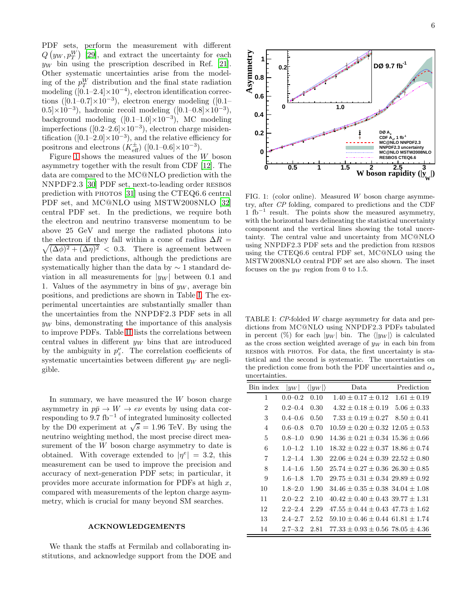PDF sets, perform the measurement with different  $Q(y_W, p_T^W)$  [\[29\]](#page-7-1), and extract the uncertainty for each  $y_W$  bin using the prescription described in Ref. [\[21\]](#page-6-18). Other systematic uncertainties arise from the modeling of the  $p_T^W$  distribution and the final state radiation modeling  $([0.1-2.4] \times 10^{-4})$ , electron identification corrections ( $[0.1-0.7] \times 10^{-3}$ ), electron energy modeling ( $[0.1 (0.5] \times 10^{-3}$ , hadronic recoil modeling  $([0.1-0.8] \times 10^{-3})$ , background modeling  $([0.1-1.0] \times 10^{-3})$ , MC modeling imperfections ( $[0.2-2.6] \times 10^{-3}$ ), electron charge misidentification ([0.1–2.0]×10<sup>-3</sup>), and the relative efficiency for positrons and electrons  $(K_{\text{eff}}^{\pm})$  ([0.1–0.6]×10<sup>-3</sup>).

Figure [1](#page-5-0) shows the measured values of the W boson asymmetry together with the result from CDF [\[12](#page-6-9)]. The data are compared to the MC@NLO prediction with the NNPDF2.3 [\[30](#page-7-2)] PDF set, next-to-leading order resbos prediction with PHOTOS [\[31](#page-7-3)] using the CTEQ6.6 central PDF set, and MC@NLO using MSTW2008NLO [\[32](#page-7-4)] central PDF set. In the predictions, we require both the electron and neutrino transverse momentum to be above 25 GeV and merge the radiated photons into  $\sqrt{(\Delta\phi)^2 + (\Delta\eta)^2}$  < 0.3. There is agreement between the electron if they fall within a cone of radius  $\Delta R =$ the data and predictions, although the predictions are systematically higher than the data by ∼ 1 standard deviation in all measurements for  $|y_W|$  between 0.1 and 1. Values of the asymmetry in bins of  $y_W$ , average bin positions, and predictions are shown in Table [I.](#page-5-1) The experimental uncertainties are substantially smaller than the uncertainties from the NNPDF2.3 PDF sets in all  $y_W$  bins, demonstrating the importance of this analysis to improve PDFs. Table [II](#page-6-25) lists the correlations between central values in different  $y_W$  bins that are introduced by the ambiguity in  $p_z^{\nu}$ . The correlation coefficients of systematic uncertainties between different  $y<sub>W</sub>$  are negligible.

In summary, we have measured the  $W$  boson charge asymmetry in  $p\bar{p} \to W \to e\nu$  events by using data corresponding to  $9.7 \text{ fb}^{-1}$  of integrated luminosity collected by the D0 experiment at  $\sqrt{s} = 1.96$  TeV. By using the neutrino weighting method, the most precise direct measurement of the W boson charge asymmetry to date is obtained. With coverage extended to  $|\eta^e| = 3.2$ , this measurement can be used to improve the precision and accuracy of next-generation PDF sets; in particular, it provides more accurate information for PDFs at high  $x$ , compared with measurements of the lepton charge asymmetry, which is crucial for many beyond SM searches.

## ACKNOWLEDGEMENTS

We thank the staffs at Fermilab and collaborating institutions, and acknowledge support from the DOE and



<span id="page-5-0"></span>FIG. 1: (color online). Measured  $W$  boson charge asymmetry, after CP folding, compared to predictions and the CDF  $1 \text{ fb}^{-1}$  result. The points show the measured asymmetry, with the horizontal bars delineating the statistical uncertainty component and the vertical lines showing the total uncertainty. The central value and uncertainty from MC@NLO using NNPDF2.3 PDF sets and the prediction from resbos using the CTEQ6.6 central PDF set, MC@NLO using the MSTW2008NLO central PDF set are also shown. The inset focuses on the  $y_W$  region from 0 to 1.5.

<span id="page-5-1"></span>TABLE I: CP-folded W charge asymmetry for data and predictions from MC@NLO using NNPDF2.3 PDFs tabulated in percent (%) for each  $|y_W|$  bin. The  $\langle |y_W| \rangle$  is calculated as the cross section weighted average of  $y_W$  in each bin from resbos with photos. For data, the first uncertainty is statistical and the second is systematic. The uncertainties on the prediction come from both the PDF uncertainties and  $\alpha_s$ uncertainties.

| Bin index      | $ y_W $     | $\langle  y_W  \rangle$ | Data                                       | Prediction      |
|----------------|-------------|-------------------------|--------------------------------------------|-----------------|
| 1              | $0.0 - 0.2$ | 0.10                    | $1.40 + 0.17 + 0.12$                       | $1.61 + 0.19$   |
| $\overline{2}$ | $0.2 - 0.4$ | 0.30                    | $4.32 + 0.18 + 0.19$                       | $5.06 \pm 0.33$ |
| 3              | $0.4 - 0.6$ | 0.50                    | $7.33 + 0.19 + 0.27$                       | $8.50 \pm 0.41$ |
| $\overline{4}$ | $0.6 - 0.8$ | 0.70                    | $10.59 + 0.20 + 0.32$ $12.05 + 0.53$       |                 |
| 5              | $0.8 - 1.0$ | 0.90                    | $14.36 + 0.21 + 0.34$ 15.36 + 0.66         |                 |
| 6              | $1.0 - 1.2$ | 1.10                    | $18.32 + 0.22 + 0.37$ $18.86 + 0.74$       |                 |
| 7              | $1.2 - 1.4$ | 1.30                    | $22.06 + 0.24 + 0.39$ $22.52 + 0.80$       |                 |
| 8              | $1.4 - 1.6$ | 1.50                    | $25.74 \pm 0.27 \pm 0.36$ $26.30 \pm 0.85$ |                 |
| 9              | $1.6 - 1.8$ | 1.70                    | $29.75 + 0.31 + 0.34$ $29.89 + 0.92$       |                 |
| 10             | $1.8 - 2.0$ | 1.90                    | $34.46 + 0.35 + 0.38$ $34.04 + 1.08$       |                 |
| 11             | $2.0 - 2.2$ | 2.10                    | $40.42 + 0.40 + 0.43$ 39.77 + 1.31         |                 |
| 12             | $2.2 - 2.4$ | 2.29                    | $47.55 \pm 0.44 \pm 0.43$ $47.73 \pm 1.62$ |                 |
| 13             | $2.4 - 2.7$ | 2.52                    | $59.10 + 0.46 + 0.44$ 61.81 + 1.74         |                 |
| 14             | $2.7 - 3.2$ | 2.81                    | $77.33 + 0.93 + 0.56$ $78.05 + 4.36$       |                 |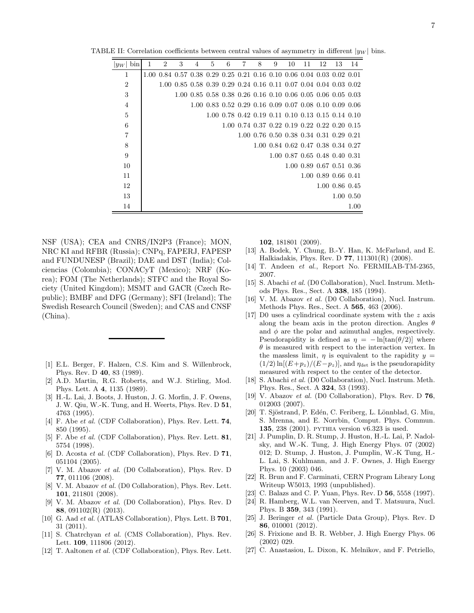TABLE II: Correlation coefficients between central values of asymmetry in different  $|y_W|$  bins.

<span id="page-6-25"></span>

| bin<br>$ y_W $ | 1 | $\mathcal{D}_{\mathcal{L}}$                                           | 3 | 4                                                                | 5 | 6 | $\overline{7}$ | 8 | 9 | 10 | 11 | 12 | 13                                                     | 14        |
|----------------|---|-----------------------------------------------------------------------|---|------------------------------------------------------------------|---|---|----------------|---|---|----|----|----|--------------------------------------------------------|-----------|
| 1              |   | 1.00 0.84 0.57 0.38 0.29 0.25 0.21 0.16 0.10 0.06 0.04 0.03 0.02 0.01 |   |                                                                  |   |   |                |   |   |    |    |    |                                                        |           |
| $\overline{2}$ |   |                                                                       |   | 1.00 0.85 0.58 0.39 0.29 0.24 0.16 0.11 0.07 0.04 0.04 0.03 0.02 |   |   |                |   |   |    |    |    |                                                        |           |
| 3              |   |                                                                       |   | 1.00 0.85 0.58 0.38 0.26 0.16 0.10 0.06 0.05 0.06 0.05 0.03      |   |   |                |   |   |    |    |    |                                                        |           |
| $\overline{4}$ |   |                                                                       |   |                                                                  |   |   |                |   |   |    |    |    | 1.00 0.83 0.52 0.29 0.16 0.09 0.07 0.08 0.10 0.09 0.06 |           |
| $\bf 5$        |   |                                                                       |   |                                                                  |   |   |                |   |   |    |    |    | 1.00 0.78 0.42 0.19 0.11 0.10 0.13 0.15 0.14 0.10      |           |
| 6              |   |                                                                       |   |                                                                  |   |   |                |   |   |    |    |    | 1.00 0.74 0.37 0.22 0.19 0.22 0.22 0.20 0.15           |           |
| 7              |   |                                                                       |   |                                                                  |   |   |                |   |   |    |    |    | 1.00 0.76 0.50 0.38 0.34 0.31 0.29 0.21                |           |
| 8              |   |                                                                       |   |                                                                  |   |   |                |   |   |    |    |    | 1.00 0.84 0.62 0.47 0.38 0.34 0.27                     |           |
| 9              |   |                                                                       |   |                                                                  |   |   |                |   |   |    |    |    | 1.00 0.87 0.65 0.48 0.40 0.31                          |           |
| 10             |   |                                                                       |   |                                                                  |   |   |                |   |   |    |    |    | 1.00 0.89 0.67 0.51 0.36                               |           |
| 11             |   |                                                                       |   |                                                                  |   |   |                |   |   |    |    |    | 1.00 0.89 0.66 0.41                                    |           |
| 12             |   |                                                                       |   |                                                                  |   |   |                |   |   |    |    |    | 1.00 0.86 0.45                                         |           |
| 13             |   |                                                                       |   |                                                                  |   |   |                |   |   |    |    |    |                                                        | 1.00 0.50 |
| 14             |   |                                                                       |   |                                                                  |   |   |                |   |   |    |    |    |                                                        | 1.00      |

NSF (USA); CEA and CNRS/IN2P3 (France); MON, NRC KI and RFBR (Russia); CNPq, FAPERJ, FAPESP and FUNDUNESP (Brazil); DAE and DST (India); Colciencias (Colombia); CONACyT (Mexico); NRF (Korea); FOM (The Netherlands); STFC and the Royal Society (United Kingdom); MSMT and GACR (Czech Republic); BMBF and DFG (Germany); SFI (Ireland); The Swedish Research Council (Sweden); and CAS and CNSF (China).

- <span id="page-6-0"></span>[1] E.L. Berger, F. Halzen, C.S. Kim and S. Willenbrock, Phys. Rev. D 40, 83 (1989).
- [2] A.D. Martin, R.G. Roberts, and W.J. Stirling, Mod. Phys. Lett. A 4, 1135 (1989).
- <span id="page-6-1"></span>[3] H.-L. Lai, J. Boots, J. Huston, J. G. Morfin, J. F. Owens, J. W. Qiu, W.-K. Tung, and H. Weerts, Phys. Rev. D 51, 4763 (1995).
- <span id="page-6-2"></span>[4] F. Abe *et al.* (CDF Collaboration), Phys. Rev. Lett. **74**, 850 (1995).
- [5] F. Abe et al. (CDF Collaboration), Phys. Rev. Lett. 81, 5754 (1998).
- <span id="page-6-3"></span>[6] D. Acosta et al. (CDF Collaboration), Phys. Rev. D 71, 051104 (2005).
- <span id="page-6-4"></span>[7] V. M. Abazov et al. (D0 Collaboration), Phys. Rev. D 77, 011106 (2008).
- <span id="page-6-5"></span>[8] V. M. Abazov et al. (D0 Collaboration), Phys. Rev. Lett. 101, 211801 (2008).
- <span id="page-6-6"></span>[9] V. M. Abazov et al. (D0 Collaboration), Phys. Rev. D 88, 091102(R) (2013).
- <span id="page-6-7"></span>[10] G. Aad et al. (ATLAS Collaboration), Phys. Lett. B 701, 31 (2011).
- <span id="page-6-8"></span>[11] S. Chatrchyan *et al.* (CMS Collaboration), Phys. Rev. Lett. 109, 111806 (2012).
- <span id="page-6-9"></span>[12] T. Aaltonen et al. (CDF Collaboration), Phys. Rev. Lett.

102, 181801 (2009).

- <span id="page-6-10"></span>[13] A. Bodek, Y. Chung, B.-Y. Han, K. McFarland, and E. Halkiadakis, Phys. Rev. D 77, 111301(R) (2008).
- <span id="page-6-11"></span>[14] T. Andeen et al., Report No. FERMILAB-TM-2365, 2007.
- <span id="page-6-12"></span>[15] S. Abachi et al. (D0 Collaboration), Nucl. Instrum. Methods Phys. Res., Sect. A 338, 185 (1994).
- <span id="page-6-13"></span>[16] V. M. Abazov et al. (D0 Collaboration), Nucl. Instrum. Methods Phys. Res., Sect. A 565, 463 (2006).
- <span id="page-6-14"></span>[17] D0 uses a cylindrical coordinate system with the z axis along the beam axis in the proton direction. Angles  $\theta$ and  $\phi$  are the polar and azimuthal angles, respectively. Pseudorapidity is defined as  $\eta = -\ln[\tan(\theta/2)]$  where  $\theta$  is measured with respect to the interaction vertex. In the massless limit,  $\eta$  is equivalent to the rapidity  $y =$  $(1/2)$  ln $[(E+p_z)/(E-p_z)]$ , and  $\eta_{\text{det}}$  is the pseudorapidity measured with respect to the center of the detector.
- <span id="page-6-15"></span>[18] S. Abachi et al. (D0 Collaboration), Nucl. Instrum. Meth. Phys. Res., Sect. A 324, 53 (1993).
- <span id="page-6-16"></span>[19] V. Abazov *et al.* (D0 Collaboration), Phys. Rev. D 76, 012003 (2007).
- <span id="page-6-17"></span>[20] T. Sjöstrand, P. Edén, C. Feriberg, L. Lönnblad, G. Miu, S. Mrenna, and E. Norrbin, Comput. Phys. Commun. 135, 238 (2001). pythia version v6.323 is used.
- <span id="page-6-18"></span>[21] J. Pumplin, D. R. Stump, J. Huston, H.-L. Lai, P. Nadolsky, and W.-K. Tung, J. High Energy Phys. 07 (2002) 012; D. Stump, J. Huston, J. Pumplin, W.-K Tung, H.- L. Lai, S. Kuhlmann, and J. F. Ownes, J. High Energy Phys. 10 (2003) 046.
- <span id="page-6-19"></span>[22] R. Brun and F. Carminati, CERN Program Library Long Writeup W5013, 1993 (unpublished).
- <span id="page-6-20"></span>[23] C. Balazs and C. P. Yuan, Phys. Rev. D 56, 5558 (1997).
- <span id="page-6-21"></span>[24] R. Hamberg, W.L. van Neerven, and T. Matsuura, Nucl. Phys. B 359, 343 (1991).
- <span id="page-6-22"></span>[25] J. Beringer et al. (Particle Data Group), Phys. Rev. D 86, 010001 (2012).
- <span id="page-6-23"></span>[26] S. Frixione and B. R. Webber, J. High Energy Phys. 06 (2002) 029.
- <span id="page-6-24"></span>[27] C. Anastasiou, L. Dixon, K. Melnikov, and F. Petriello,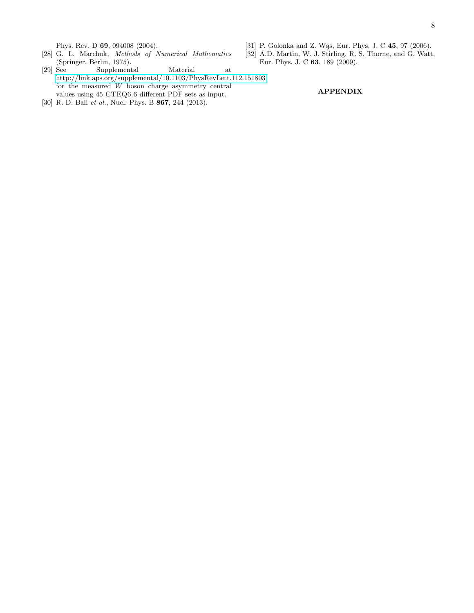Phys. Rev. D 69, 094008 (2004).

- <span id="page-7-0"></span>[28] G. L. Marchuk, Methods of Numerical Mathematics
- <span id="page-7-3"></span>[31] P. Golonka and Z. Was, Eur. Phys. J. C 45, 97 (2006).
- <span id="page-7-4"></span>[32] A.D. Martin, W. J. Stirling, R. S. Thorne, and G. Watt, Eur. Phys. J. C 63, 189 (2009).
- <span id="page-7-1"></span>(Springer, Berlin, 1975).<br>[29] See Supplement  $\begin{tabular}{ll} \bf Supplementary \bf 244 \bf 3557 \\ \bf Natural \bf 364 \bf 4777 \\ \bf 584 \bf 5877 \\ \bf 694 \bf 6977 \\ \bf 794 \bf 6977 \\ \bf 804 \bf 6977 \\ \bf 914 \bf 6977 \\ \bf 924 \bf 6977 \\ \bf 934 \bf 6977 \\ \bf 944 \bf 6977 \\ \bf 954 \bf 6977 \\ \bf 964 \bf 6977 \\ \bf 974 \bf 6977 \\ \bf 984 \bf 6977 \\ \bf 994 \bf 69$ <http://link.aps.org/supplemental/10.1103/PhysRevLett.112.151803> for the measured W boson charge asymmetry central values using 45 CTEQ6.6 different PDF sets as input.
- <span id="page-7-2"></span>[30] R. D. Ball et al., Nucl. Phys. B 867, 244 (2013).

APPENDIX